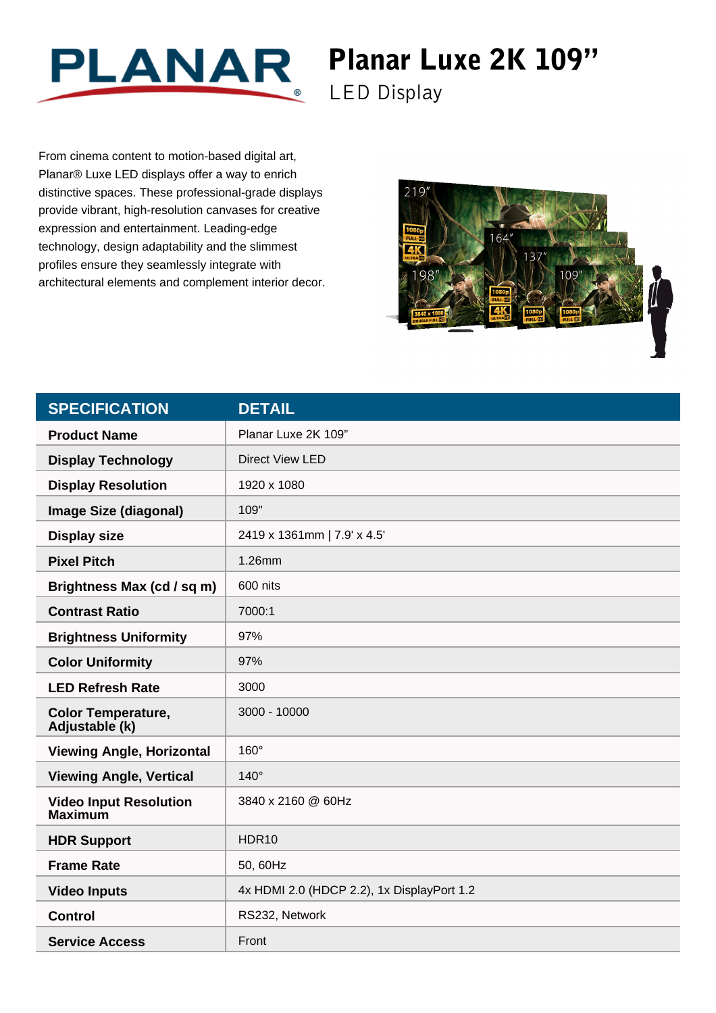

## Planar Luxe 2K 109"

LED Display

From cinema content to motion-based digital art, Planar® Luxe LED displays offer a way to enrich distinctive spaces. These professional-grade displays provide vibrant, high-resolution canvases for creative expression and entertainment. Leading-edge technology, design adaptability and the slimmest profiles ensure they seamlessly integrate with architectural elements and complement interior decor.



| <b>SPECIFICATION</b>                            | <b>DETAIL</b>                              |
|-------------------------------------------------|--------------------------------------------|
| <b>Product Name</b>                             | Planar Luxe 2K 109"                        |
| <b>Display Technology</b>                       | <b>Direct View LED</b>                     |
| <b>Display Resolution</b>                       | 1920 x 1080                                |
| <b>Image Size (diagonal)</b>                    | 109"                                       |
| <b>Display size</b>                             | 2419 x 1361mm   7.9' x 4.5'                |
| <b>Pixel Pitch</b>                              | 1.26mm                                     |
| Brightness Max (cd / sq m)                      | 600 nits                                   |
| <b>Contrast Ratio</b>                           | 7000:1                                     |
| <b>Brightness Uniformity</b>                    | 97%                                        |
| <b>Color Uniformity</b>                         | 97%                                        |
| <b>LED Refresh Rate</b>                         | 3000                                       |
| <b>Color Temperature,</b><br>Adjustable (k)     | 3000 - 10000                               |
| <b>Viewing Angle, Horizontal</b>                | $160^\circ$                                |
| <b>Viewing Angle, Vertical</b>                  | $140^\circ$                                |
| <b>Video Input Resolution</b><br><b>Maximum</b> | 3840 x 2160 @ 60Hz                         |
| <b>HDR Support</b>                              | HDR <sub>10</sub>                          |
| <b>Frame Rate</b>                               | 50, 60Hz                                   |
| <b>Video Inputs</b>                             | 4x HDMI 2.0 (HDCP 2.2), 1x DisplayPort 1.2 |
| <b>Control</b>                                  | RS232, Network                             |
| <b>Service Access</b>                           | Front                                      |